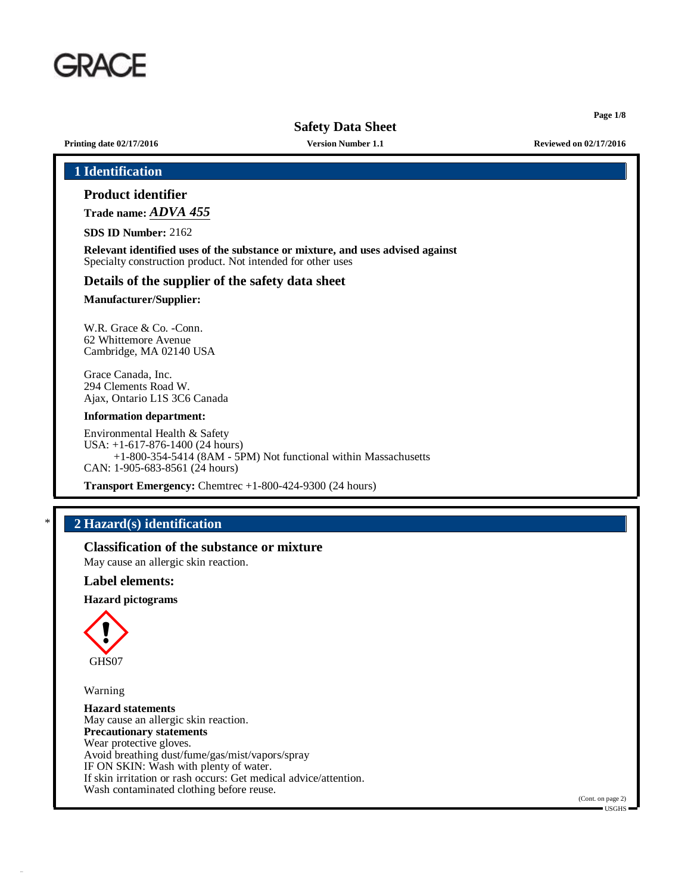

**Page 1/8**

**Printing date 02/17/2016 Version Number 1.1 Reviewed on 02/17/2016**

| <b>Product identifier</b>                                                                            |                                                                                                                                               |  |
|------------------------------------------------------------------------------------------------------|-----------------------------------------------------------------------------------------------------------------------------------------------|--|
| Trade name: ADVA 455                                                                                 |                                                                                                                                               |  |
| <b>SDS ID Number: 2162</b>                                                                           |                                                                                                                                               |  |
|                                                                                                      | Relevant identified uses of the substance or mixture, and uses advised against<br>Specialty construction product. Not intended for other uses |  |
|                                                                                                      | Details of the supplier of the safety data sheet                                                                                              |  |
| <b>Manufacturer/Supplier:</b>                                                                        |                                                                                                                                               |  |
| W.R. Grace & Co. -Conn.<br>62 Whittemore Avenue<br>Cambridge, MA 02140 USA                           |                                                                                                                                               |  |
| Grace Canada, Inc.<br>294 Clements Road W.<br>Ajax, Ontario L1S 3C6 Canada                           |                                                                                                                                               |  |
| <b>Information department:</b>                                                                       |                                                                                                                                               |  |
| Environmental Health & Safety<br>USA: $+1-617-876-1400$ (24 hours)<br>CAN: 1-905-683-8561 (24 hours) | +1-800-354-5414 (8AM - 5PM) Not functional within Massachusetts                                                                               |  |
|                                                                                                      | <b>Transport Emergency:</b> Chemtrec $+1-800-424-9300$ (24 hours)                                                                             |  |

# \* **2 Hazard(s) identification**

**Classification of the substance or mixture**

May cause an allergic skin reaction.

#### **Label elements:**

**Hazard pictograms**



Warning

**Hazard statements** May cause an allergic skin reaction. **Precautionary statements** Wear protective gloves. Avoid breathing dust/fume/gas/mist/vapors/spray IF ON SKIN: Wash with plenty of water. If skin irritation or rash occurs: Get medical advice/attention. Wash contaminated clothing before reuse.

(Cont. on page 2) USGHS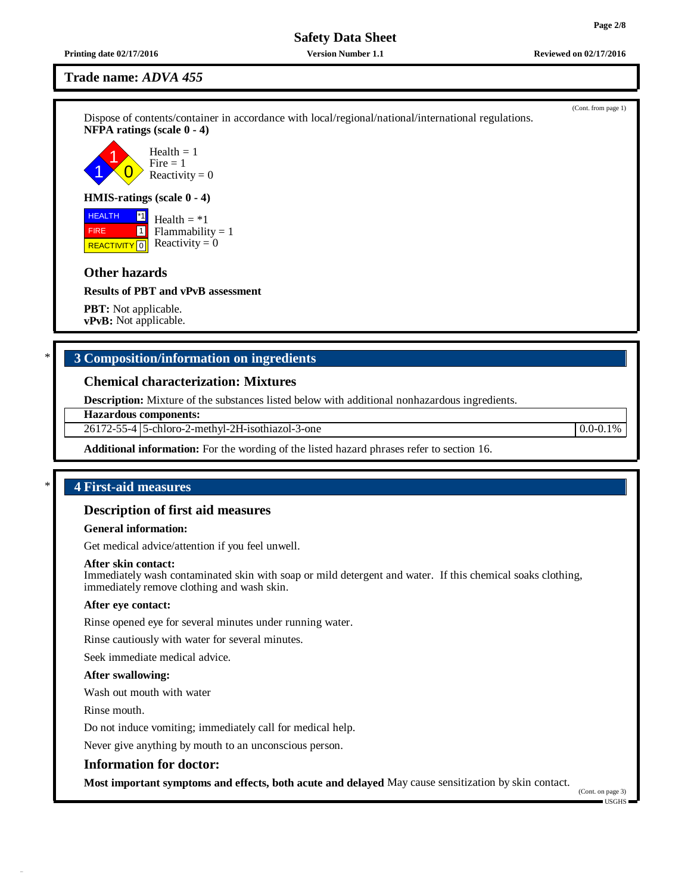**Printing date 02/17/2016 Version Number 1.1 Reviewed on 02/17/2016**

**Trade name:** *ADVA 455*

Dispose of contents/container in accordance with local/regional/national/international regulations. **NFPA ratings (scale 0 - 4)**

1 1  $\overline{0}$ Health  $= 1$  $Fire = 1$ Reactivity  $= 0$ 

#### **HMIS-ratings (scale 0 - 4)**

 HEALTH FIRE **REACTIVITY** 0 \*1  $\boxed{1}$ Health  $= *1$  $Flammability = 1$ Reactivity  $= 0$ 

# **Other hazards**

**Results of PBT and vPvB assessment**

**PBT:** Not applicable. **vPvB:** Not applicable.

# \* **3 Composition/information on ingredients**

# **Chemical characterization: Mixtures**

**Description:** Mixture of the substances listed below with additional nonhazardous ingredients.

#### **Hazardous components:**

26172-55-4 5-chloro-2-methyl-2H-isothiazol-3-one 0.0-0.1%

**Additional information:** For the wording of the listed hazard phrases refer to section 16.

# \* **4 First-aid measures**

## **Description of first aid measures**

#### **General information:**

Get medical advice/attention if you feel unwell.

#### **After skin contact:**

Immediately wash contaminated skin with soap or mild detergent and water. If this chemical soaks clothing, immediately remove clothing and wash skin.

#### **After eye contact:**

Rinse opened eye for several minutes under running water.

Rinse cautiously with water for several minutes.

Seek immediate medical advice.

#### **After swallowing:**

Wash out mouth with water

Rinse mouth.

Do not induce vomiting; immediately call for medical help.

Never give anything by mouth to an unconscious person.

## **Information for doctor:**

**Most important symptoms and effects, both acute and delayed** May cause sensitization by skin contact.

(Cont. on page 3) USGHS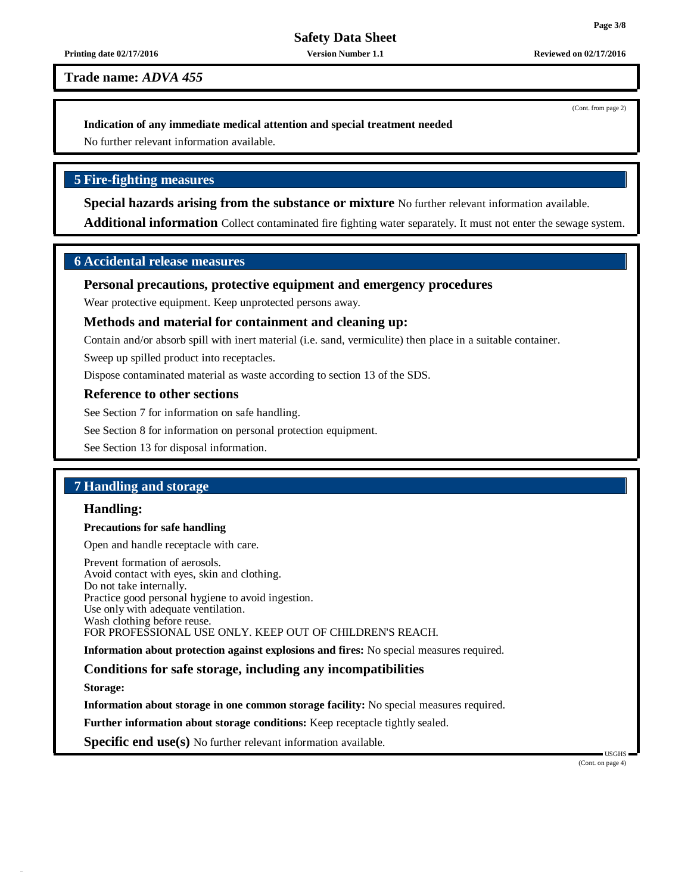#### **Printing date 02/17/2016 Version Number 1.1 Reviewed on 02/17/2016**

**Trade name:** *ADVA 455*

(Cont. from page 2)

#### **Indication of any immediate medical attention and special treatment needed**

No further relevant information available.

# **5 Fire-fighting measures**

**Special hazards arising from the substance or mixture** No further relevant information available.

**Additional information** Collect contaminated fire fighting water separately. It must not enter the sewage system.

# **6 Accidental release measures**

## **Personal precautions, protective equipment and emergency procedures**

Wear protective equipment. Keep unprotected persons away.

## **Methods and material for containment and cleaning up:**

Contain and/or absorb spill with inert material (i.e. sand, vermiculite) then place in a suitable container.

Sweep up spilled product into receptacles.

Dispose contaminated material as waste according to section 13 of the SDS.

#### **Reference to other sections**

See Section 7 for information on safe handling.

See Section 8 for information on personal protection equipment.

See Section 13 for disposal information.

# **7 Handling and storage**

## **Handling:**

#### **Precautions for safe handling**

Open and handle receptacle with care.

Prevent formation of aerosols. Avoid contact with eyes, skin and clothing. Do not take internally. Practice good personal hygiene to avoid ingestion. Use only with adequate ventilation. Wash clothing before reuse. FOR PROFESSIONAL USE ONLY. KEEP OUT OF CHILDREN'S REACH.

**Information about protection against explosions and fires:** No special measures required.

#### **Conditions for safe storage, including any incompatibilities**

**Storage:**

**Information about storage in one common storage facility:** No special measures required.

**Further information about storage conditions:** Keep receptacle tightly sealed.

**Specific end use(s)** No further relevant information available.

USGHS (Cont. on page 4)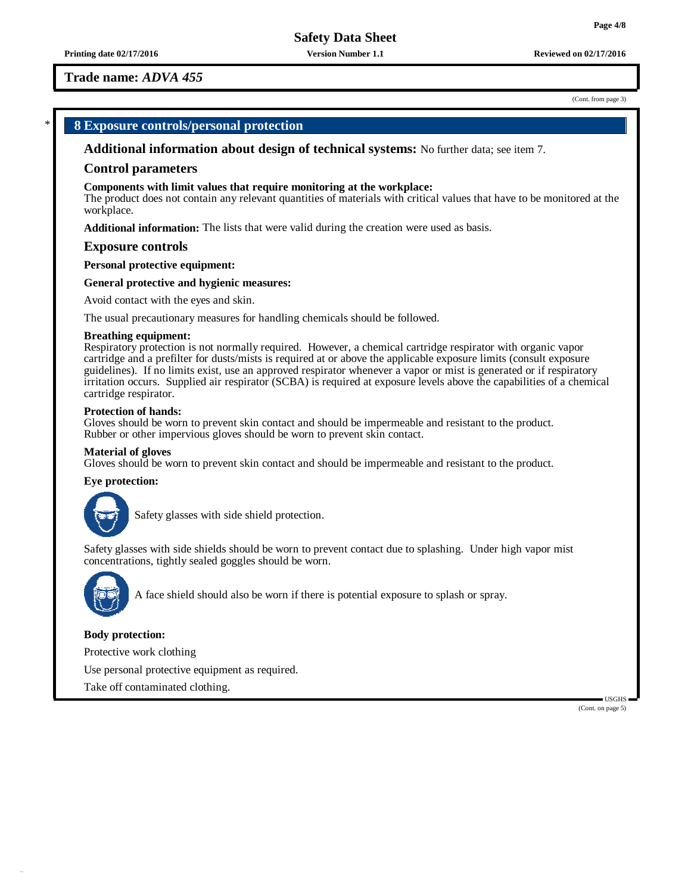**Printing date 02/17/2016 Version Number 1.1 Reviewed on 02/17/2016**

# **Trade name:** *ADVA 455*

#### (Cont. from page 3)

# \* **8 Exposure controls/personal protection**

**Additional information about design of technical systems:** No further data; see item 7.

#### **Control parameters**

#### **Components with limit values that require monitoring at the workplace:**

The product does not contain any relevant quantities of materials with critical values that have to be monitored at the workplace.

**Additional information:** The lists that were valid during the creation were used as basis.

#### **Exposure controls**

**Personal protective equipment:**

#### **General protective and hygienic measures:**

Avoid contact with the eyes and skin.

The usual precautionary measures for handling chemicals should be followed.

#### **Breathing equipment:**

Respiratory protection is not normally required. However, a chemical cartridge respirator with organic vapor cartridge and a prefilter for dusts/mists is required at or above the applicable exposure limits (consult exposure guidelines). If no limits exist, use an approved respirator whenever a vapor or mist is generated or if respiratory irritation occurs. Supplied air respirator (SCBA) is required at exposure levels above the capabilities of a chemical cartridge respirator.

#### **Protection of hands:**

Gloves should be worn to prevent skin contact and should be impermeable and resistant to the product. Rubber or other impervious gloves should be worn to prevent skin contact.

#### **Material of gloves**

Gloves should be worn to prevent skin contact and should be impermeable and resistant to the product.

#### **Eye protection:**



Safety glasses with side shield protection.

Safety glasses with side shields should be worn to prevent contact due to splashing. Under high vapor mist concentrations, tightly sealed goggles should be worn.



A face shield should also be worn if there is potential exposure to splash or spray.

#### **Body protection:**

Protective work clothing

Use personal protective equipment as required.

Take off contaminated clothing.

(Cont. on page 5)

USGHS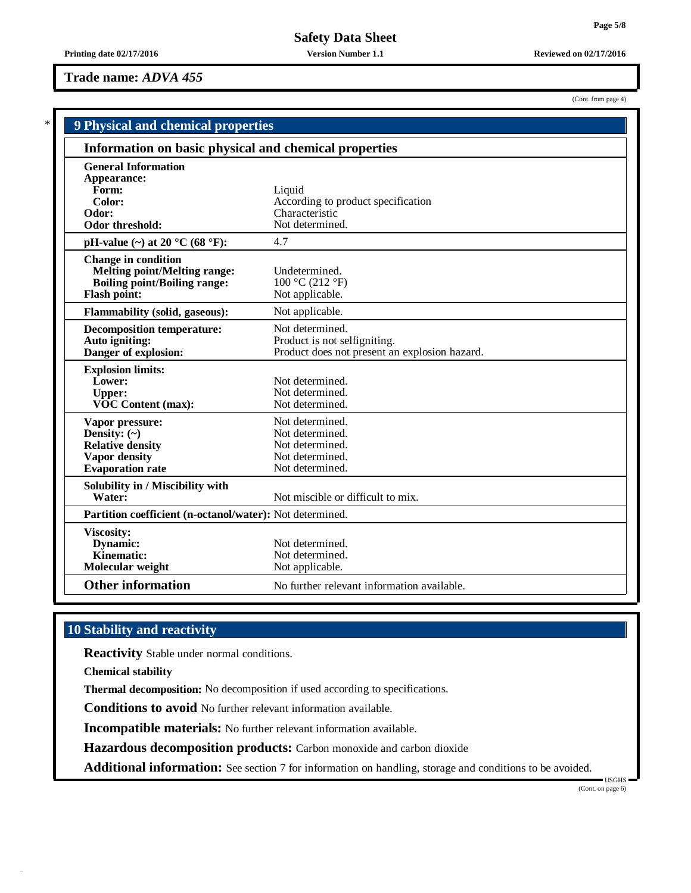# **Trade name:** *ADVA 455*

|                                                          | 9 Physical and chemical properties            |  |  |  |  |
|----------------------------------------------------------|-----------------------------------------------|--|--|--|--|
| Information on basic physical and chemical properties    |                                               |  |  |  |  |
| <b>General Information</b>                               |                                               |  |  |  |  |
| Appearance:                                              |                                               |  |  |  |  |
| Form:                                                    | Liquid                                        |  |  |  |  |
| Color:                                                   | According to product specification            |  |  |  |  |
| Odor:                                                    | Characteristic                                |  |  |  |  |
| <b>Odor threshold:</b>                                   | Not determined.                               |  |  |  |  |
| pH-value $(\sim)$ at 20 °C (68 °F):                      | 4.7                                           |  |  |  |  |
| <b>Change in condition</b>                               |                                               |  |  |  |  |
| <b>Melting point/Melting range:</b>                      | Undetermined.                                 |  |  |  |  |
| <b>Boiling point/Boiling range:</b>                      | 100 °C (212 °F)                               |  |  |  |  |
| <b>Flash point:</b>                                      | Not applicable.                               |  |  |  |  |
| <b>Flammability (solid, gaseous):</b>                    | Not applicable.                               |  |  |  |  |
| <b>Decomposition temperature:</b>                        | Not determined.                               |  |  |  |  |
| Auto igniting:                                           | Product is not selfigniting.                  |  |  |  |  |
| Danger of explosion:                                     | Product does not present an explosion hazard. |  |  |  |  |
| <b>Explosion limits:</b>                                 |                                               |  |  |  |  |
| Lower:                                                   | Not determined.                               |  |  |  |  |
| <b>Upper:</b>                                            | Not determined.                               |  |  |  |  |
| <b>VOC Content (max):</b>                                | Not determined.                               |  |  |  |  |
| Vapor pressure:                                          | Not determined.                               |  |  |  |  |
| Density: $(\sim)$                                        | Not determined.                               |  |  |  |  |
| <b>Relative density</b>                                  | Not determined.                               |  |  |  |  |
| <b>Vapor density</b>                                     | Not determined.                               |  |  |  |  |
| <b>Evaporation rate</b>                                  | Not determined.                               |  |  |  |  |
| Solubility in / Miscibility with                         |                                               |  |  |  |  |
| Water:                                                   | Not miscible or difficult to mix.             |  |  |  |  |
| Partition coefficient (n-octanol/water): Not determined. |                                               |  |  |  |  |
| <b>Viscosity:</b>                                        |                                               |  |  |  |  |
| Dynamic:                                                 | Not determined.                               |  |  |  |  |

**Molecular weight** Not applicable.

**Other information** No further relevant information available.

Not determined.

# **10 Stability and reactivity**

**Reactivity** Stable under normal conditions.

**Chemical stability**

**Thermal decomposition:** No decomposition if used according to specifications.

**Conditions to avoid** No further relevant information available.

**Dynamic:** Not determined.<br> **Kinematic:** Not determined.

**Incompatible materials:** No further relevant information available.

**Hazardous decomposition products:** Carbon monoxide and carbon dioxide

**Additional information:** See section 7 for information on handling, storage and conditions to be avoided.

(Cont. from page 4)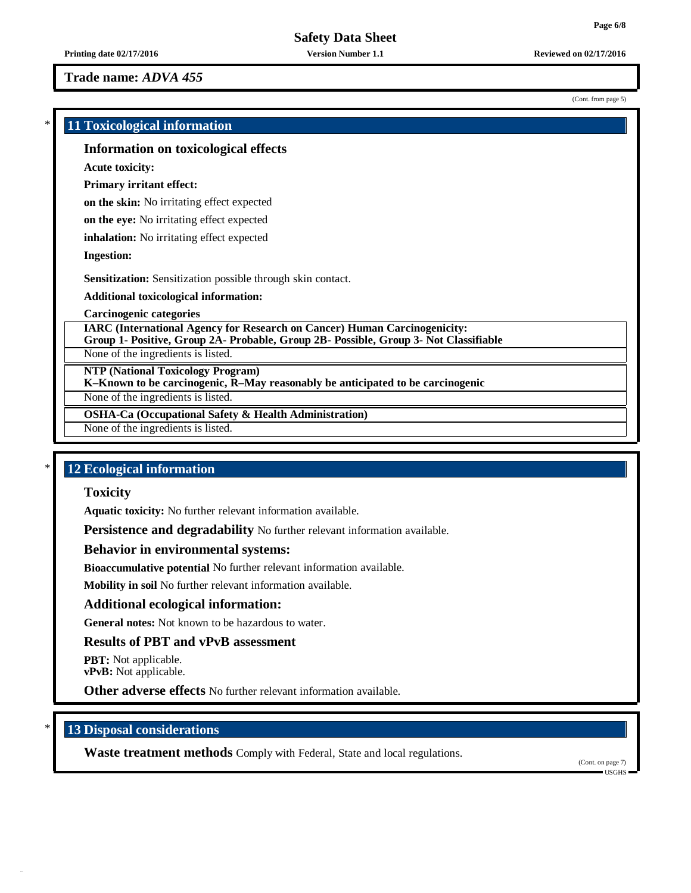**Trade name:** *ADVA 455*

(Cont. from page 5)

# \* **11 Toxicological information Information on toxicological effects Acute toxicity: Primary irritant effect: on the skin:** No irritating effect expected **on the eye:** No irritating effect expected **inhalation:** No irritating effect expected **Ingestion: Sensitization:** Sensitization possible through skin contact. **Additional toxicological information: Carcinogenic categories IARC (International Agency for Research on Cancer) Human Carcinogenicity: Group 1- Positive, Group 2A- Probable, Group 2B- Possible, Group 3- Not Classifiable** None of the ingredients is listed. **NTP (National Toxicology Program) K–Known to be carcinogenic, R–May reasonably be anticipated to be carcinogenic** None of the ingredients is listed. **OSHA-Ca (Occupational Safety & Health Administration)**

None of the ingredients is listed.

## \* **12 Ecological information**

**Toxicity**

**Aquatic toxicity:** No further relevant information available.

**Persistence and degradability** No further relevant information available.

#### **Behavior in environmental systems:**

**Bioaccumulative potential** No further relevant information available.

**Mobility in soil** No further relevant information available.

#### **Additional ecological information:**

**General notes:** Not known to be hazardous to water.

#### **Results of PBT and vPvB assessment**

**PBT:** Not applicable. **vPvB:** Not applicable.

**Other adverse effects** No further relevant information available.

# \* **13 Disposal considerations**

**Waste treatment methods** Comply with Federal, State and local regulations.

(Cont. on page 7) USGHS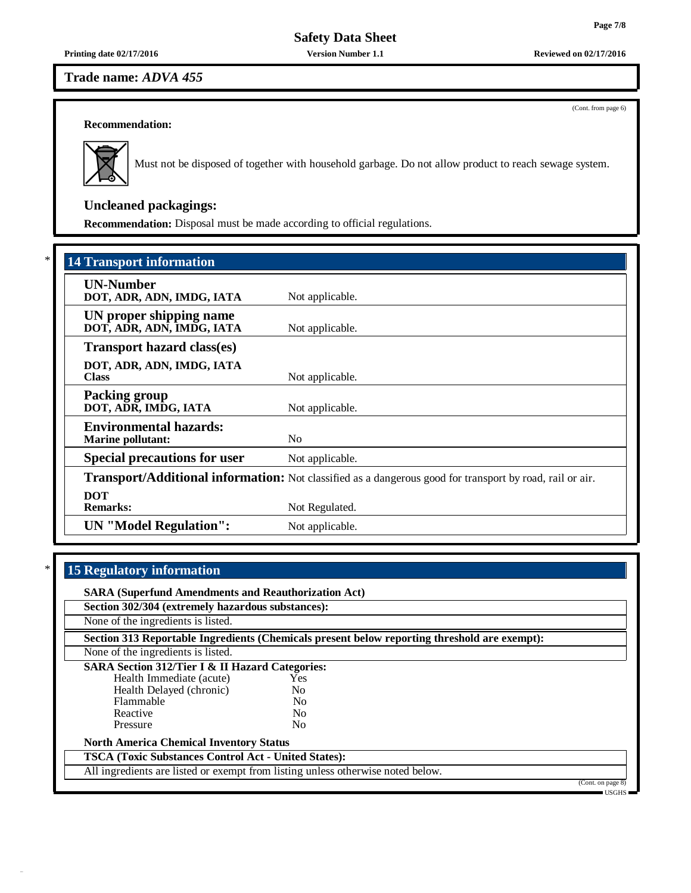**Printing date 02/17/2016 Version Number 1.1 Reviewed on 02/17/2016**

**Trade name:** *ADVA 455*

(Cont. from page 6)

# **Recommendation:**



Must not be disposed of together with household garbage. Do not allow product to reach sewage system.

# **Uncleaned packagings:**

**Recommendation:** Disposal must be made according to official regulations.

| <b>14 Transport information</b>                           |                                                                                                          |
|-----------------------------------------------------------|----------------------------------------------------------------------------------------------------------|
| <b>UN-Number</b><br>DOT, ADR, ADN, IMDG, IATA             | Not applicable.                                                                                          |
| UN proper shipping name<br>DOT, ADR, ADN, IMDG, IATA      | Not applicable.                                                                                          |
| <b>Transport hazard class(es)</b>                         |                                                                                                          |
| DOT, ADR, ADN, IMDG, IATA<br><b>Class</b>                 | Not applicable.                                                                                          |
| <b>Packing group</b><br>DOT, ADR, IMDG, IATA              | Not applicable.                                                                                          |
| <b>Environmental hazards:</b><br><b>Marine pollutant:</b> | N <sub>0</sub>                                                                                           |
| <b>Special precautions for user</b>                       | Not applicable.                                                                                          |
|                                                           | Transport/Additional information: Not classified as a dangerous good for transport by road, rail or air. |
| <b>DOT</b><br><b>Remarks:</b>                             | Not Regulated.                                                                                           |
| <b>UN</b> "Model Regulation":                             | Not applicable.                                                                                          |

# \* **15 Regulatory information**

| <b>SARA (Superfund Amendments and Reauthorization Act)</b>                      |                |                                                                                              |                   |
|---------------------------------------------------------------------------------|----------------|----------------------------------------------------------------------------------------------|-------------------|
| Section 302/304 (extremely hazardous substances):                               |                |                                                                                              |                   |
| None of the ingredients is listed.                                              |                |                                                                                              |                   |
|                                                                                 |                | Section 313 Reportable Ingredients (Chemicals present below reporting threshold are exempt): |                   |
| None of the ingredients is listed.                                              |                |                                                                                              |                   |
| <b>SARA Section 312/Tier I &amp; II Hazard Categories:</b>                      |                |                                                                                              |                   |
| Health Immediate (acute)                                                        | Yes            |                                                                                              |                   |
| Health Delayed (chronic)                                                        | N <sub>0</sub> |                                                                                              |                   |
| Flammable                                                                       | N <sub>0</sub> |                                                                                              |                   |
| Reactive                                                                        | N <sub>0</sub> |                                                                                              |                   |
| Pressure                                                                        | N <sub>0</sub> |                                                                                              |                   |
| <b>North America Chemical Inventory Status</b>                                  |                |                                                                                              |                   |
| <b>TSCA (Toxic Substances Control Act - United States):</b>                     |                |                                                                                              |                   |
| All ingredients are listed or exempt from listing unless otherwise noted below. |                |                                                                                              |                   |
|                                                                                 |                |                                                                                              | (Cont. on page 8) |
|                                                                                 |                |                                                                                              | = USGHS =         |